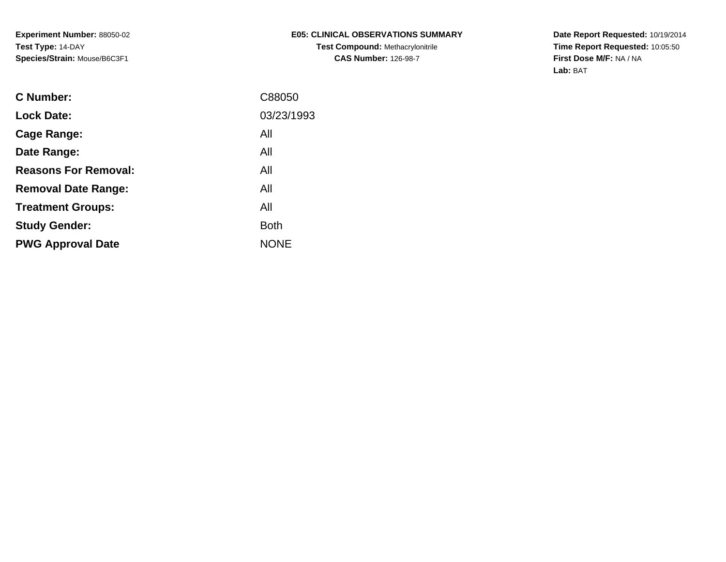**Experiment Number:** 88050-02**Test Type:** 14-DAY**Species/Strain:** Mouse/B6C3F1

**Date Report Requested:** 10/19/2014 **Time Report Requested:** 10:05:50**First Dose M/F:** NA / NA**Lab:** BAT

| <b>C</b> Number:            | C88050      |
|-----------------------------|-------------|
| <b>Lock Date:</b>           | 03/23/1993  |
| Cage Range:                 | All         |
| Date Range:                 | All         |
| <b>Reasons For Removal:</b> | All         |
| <b>Removal Date Range:</b>  | All         |
| <b>Treatment Groups:</b>    | All         |
| <b>Study Gender:</b>        | <b>Both</b> |
| <b>PWG Approval Date</b>    | <b>NONE</b> |
|                             |             |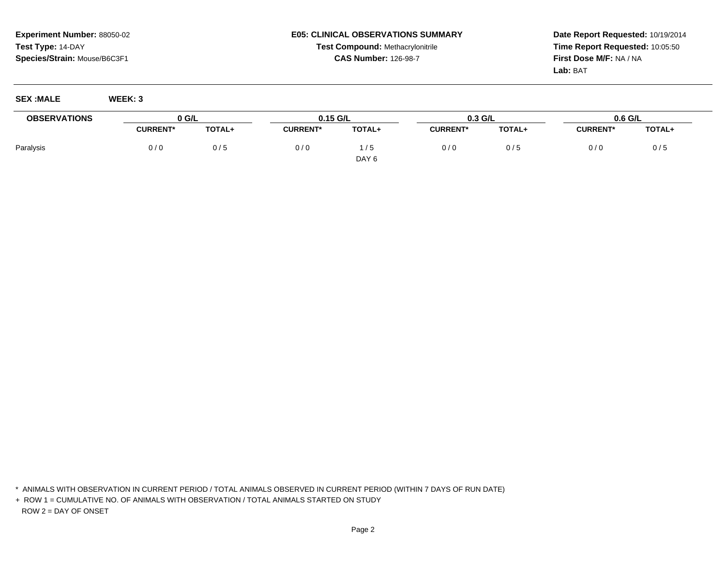## **Experiment Number:** 88050-02**Test Type:** 14-DAY**Species/Strain:** Mouse/B6C3F1

## **E05: CLINICAL OBSERVATIONS SUMMARYTest Compound:** Methacrylonitrile**CAS Number:** 126-98-7

**Date Report Requested:** 10/19/2014**Time Report Requested:** 10:05:50**First Dose M/F:** NA / NA**Lab:** BAT

**SEX :MALE WEEK: 3**

| <b>OBSERVATIONS</b> | 0 G/L           |               | $0.15$ G/L      |                  | $0.3$ G/L       |        | 0.6 G/L         |               |
|---------------------|-----------------|---------------|-----------------|------------------|-----------------|--------|-----------------|---------------|
|                     | <b>CURRENT*</b> | <b>TOTAL+</b> | <b>CURRENT*</b> | TOTAL+           | <b>CURRENT*</b> | TOTAL+ | <b>CURRENT*</b> | <b>TOTAL+</b> |
| Paralysis           | 0/0             | 0/5           | 0/0             | i / 5            | 0/0             |        | 0/0             | 0/し           |
|                     |                 |               |                 | DAY <sub>6</sub> |                 |        |                 |               |

\* ANIMALS WITH OBSERVATION IN CURRENT PERIOD / TOTAL ANIMALS OBSERVED IN CURRENT PERIOD (WITHIN 7 DAYS OF RUN DATE)

+ ROW 1 = CUMULATIVE NO. OF ANIMALS WITH OBSERVATION / TOTAL ANIMALS STARTED ON STUDYROW 2 = DAY OF ONSET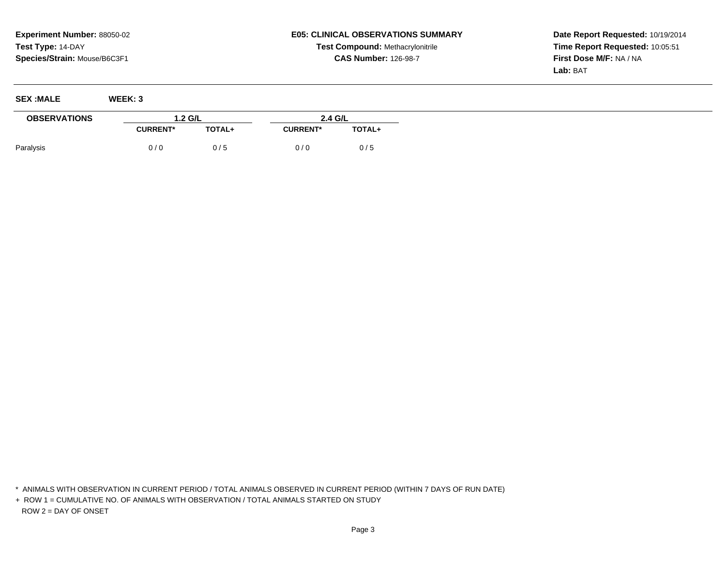## **E05: CLINICAL OBSERVATIONS SUMMARYTest Compound:** Methacrylonitrile**CAS Number:** 126-98-7

**Date Report Requested:** 10/19/2014**Time Report Requested:** 10:05:51**First Dose M/F:** NA / NA**Lab:** BAT

| <b>SEX :MALE</b>    | WEEK: 3         |        |                 |         |  |
|---------------------|-----------------|--------|-----------------|---------|--|
| <b>OBSERVATIONS</b> | 1.2 G/L         |        |                 | 2.4 G/L |  |
|                     | <b>CURRENT*</b> | TOTAL+ | <b>CURRENT*</b> | TOTAL+  |  |
| Paralysis           | 0/0             | 0/5    | 0/0             | 0/5     |  |

\* ANIMALS WITH OBSERVATION IN CURRENT PERIOD / TOTAL ANIMALS OBSERVED IN CURRENT PERIOD (WITHIN 7 DAYS OF RUN DATE)

+ ROW 1 = CUMULATIVE NO. OF ANIMALS WITH OBSERVATION / TOTAL ANIMALS STARTED ON STUDYROW 2 = DAY OF ONSET